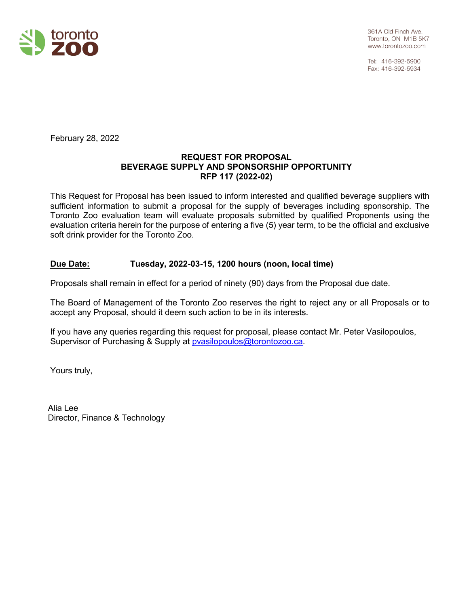

Tel: 416-392-5900 Fax: 416-392-5934

February 28, 2022

#### **REQUEST FOR PROPOSAL BEVERAGE SUPPLY AND SPONSORSHIP OPPORTUNITY RFP 117 (2022-02)**

This Request for Proposal has been issued to inform interested and qualified beverage suppliers with sufficient information to submit a proposal for the supply of beverages including sponsorship. The Toronto Zoo evaluation team will evaluate proposals submitted by qualified Proponents using the evaluation criteria herein for the purpose of entering a five (5) year term, to be the official and exclusive soft drink provider for the Toronto Zoo.

### **Due Date: Tuesday, 2022-03-15, 1200 hours (noon, local time)**

Proposals shall remain in effect for a period of ninety (90) days from the Proposal due date.

The Board of Management of the Toronto Zoo reserves the right to reject any or all Proposals or to accept any Proposal, should it deem such action to be in its interests.

If you have any queries regarding this request for proposal, please contact Mr. Peter Vasilopoulos, Supervisor of Purchasing & Supply at [pvasilopoulos@torontozoo.ca.](mailto:pvasilopoulos@torontozoo.ca)

Yours truly,

Alia Lee Director, Finance & Technology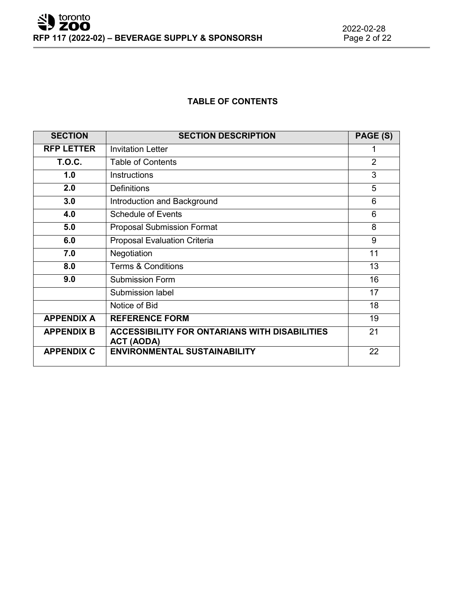# **TABLE OF CONTENTS**

| <b>SECTION</b>    | <b>SECTION DESCRIPTION</b>                                                | PAGE (S)       |
|-------------------|---------------------------------------------------------------------------|----------------|
| <b>RFP LETTER</b> | <b>Invitation Letter</b>                                                  | 1              |
| <b>T.O.C.</b>     | <b>Table of Contents</b>                                                  | $\overline{2}$ |
| 1.0               | <b>Instructions</b>                                                       | 3              |
| 2.0               | <b>Definitions</b>                                                        | 5              |
| 3.0               | Introduction and Background                                               | 6              |
| 4.0               | <b>Schedule of Events</b>                                                 | 6              |
| 5.0               | <b>Proposal Submission Format</b>                                         | 8              |
| 6.0               | <b>Proposal Evaluation Criteria</b>                                       | 9              |
| 7.0               | Negotiation                                                               | 11             |
| 8.0               | <b>Terms &amp; Conditions</b>                                             | 13             |
| 9.0               | <b>Submission Form</b>                                                    | 16             |
|                   | <b>Submission label</b>                                                   | 17             |
|                   | Notice of Bid                                                             | 18             |
| <b>APPENDIX A</b> | <b>REFERENCE FORM</b>                                                     | 19             |
| <b>APPENDIX B</b> | <b>ACCESSIBILITY FOR ONTARIANS WITH DISABILITIES</b><br><b>ACT (AODA)</b> | 21             |
| <b>APPENDIX C</b> | <b>ENVIRONMENTAL SUSTAINABILITY</b>                                       | 22             |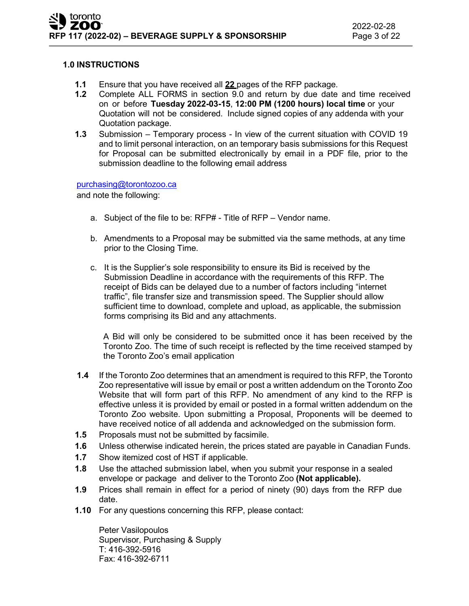#### **1.0 INSTRUCTIONS**

- **1.1** Ensure that you have received all **22** pages of the RFP package.
- **1.2** Complete ALL FORMS in section 9.0 and return by due date and time received on or before **Tuesday 2022-03-15**, **12:00 PM (1200 hours) local time** or your Quotation will not be considered. Include signed copies of any addenda with your Quotation package.
- **1.3** Submission Temporary process In view of the current situation with COVID 19 and to limit personal interaction, on an temporary basis submissions for this Request for Proposal can be submitted electronically by email in a PDF file, prior to the submission deadline to the following email address

#### [purchasing@torontozoo.ca](mailto:purchasing@torontozoo.ca)

and note the following:

- a. Subject of the file to be: RFP# Title of RFP Vendor name.
- b. Amendments to a Proposal may be submitted via the same methods, at any time prior to the Closing Time.
- c. It is the Supplier's sole responsibility to ensure its Bid is received by the Submission Deadline in accordance with the requirements of this RFP. The receipt of Bids can be delayed due to a number of factors including "internet traffic", file transfer size and transmission speed. The Supplier should allow sufficient time to download, complete and upload, as applicable, the submission forms comprising its Bid and any attachments.

A Bid will only be considered to be submitted once it has been received by the Toronto Zoo. The time of such receipt is reflected by the time received stamped by the Toronto Zoo's email application

- **1.4** If the Toronto Zoo determines that an amendment is required to this RFP, the Toronto Zoo representative will issue by email or post a written addendum on the Toronto Zoo Website that will form part of this RFP. No amendment of any kind to the RFP is effective unless it is provided by email or posted in a formal written addendum on the Toronto Zoo website. Upon submitting a Proposal, Proponents will be deemed to have received notice of all addenda and acknowledged on the submission form.
- **1.5** Proposals must not be submitted by facsimile.
- **1.6** Unless otherwise indicated herein, the prices stated are payable in Canadian Funds.
- **1.7** Show itemized cost of HST if applicable.
- **1.8** Use the attached submission label, when you submit your response in a sealed envelope or package and deliver to the Toronto Zoo **(Not applicable).**
- **1.9** Prices shall remain in effect for a period of ninety (90) days from the RFP due date.
- **1.10** For any questions concerning this RFP, please contact:

Peter Vasilopoulos Supervisor, Purchasing & Supply T: 416-392-5916 Fax: 416-392-6711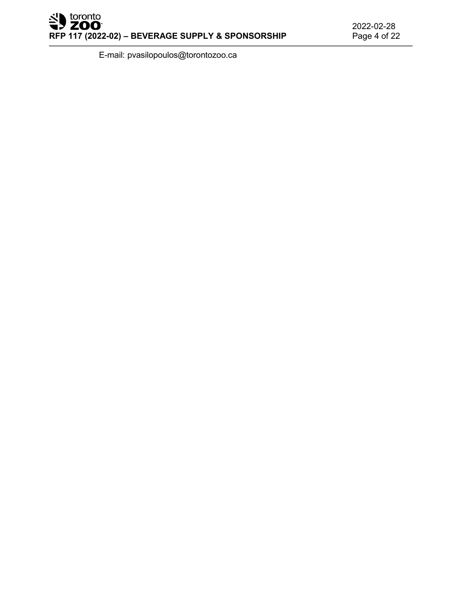E-mail: [pvasilopoulos@torontozoo.ca](mailto:pvasilopoulos@torontozoo.ca)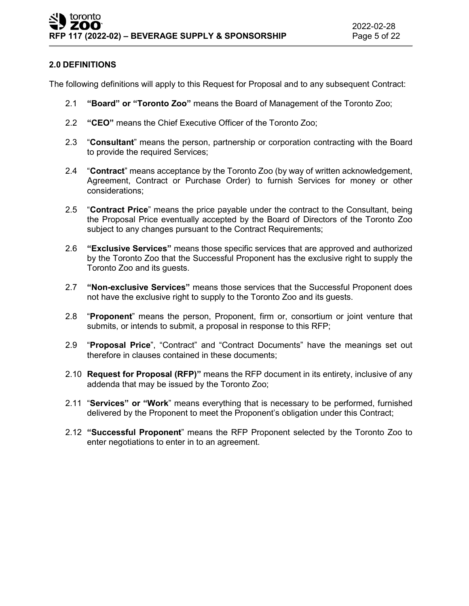# **2.0 DEFINITIONS**

The following definitions will apply to this Request for Proposal and to any subsequent Contract:

- 2.1 **"Board" or "Toronto Zoo"** means the Board of Management of the Toronto Zoo;
- 2.2 **"CEO"** means the Chief Executive Officer of the Toronto Zoo;
- 2.3 "**Consultant**" means the person, partnership or corporation contracting with the Board to provide the required Services;
- 2.4 "**Contract**" means acceptance by the Toronto Zoo (by way of written acknowledgement, Agreement, Contract or Purchase Order) to furnish Services for money or other considerations;
- 2.5 "**Contract Price**" means the price payable under the contract to the Consultant, being the Proposal Price eventually accepted by the Board of Directors of the Toronto Zoo subject to any changes pursuant to the Contract Requirements;
- 2.6 **"Exclusive Services"** means those specific services that are approved and authorized by the Toronto Zoo that the Successful Proponent has the exclusive right to supply the Toronto Zoo and its guests.
- 2.7 **"Non-exclusive Services"** means those services that the Successful Proponent does not have the exclusive right to supply to the Toronto Zoo and its guests.
- 2.8 "**Proponent**" means the person, Proponent, firm or, consortium or joint venture that submits, or intends to submit, a proposal in response to this RFP;
- 2.9 "**Proposal Price**", "Contract" and "Contract Documents" have the meanings set out therefore in clauses contained in these documents;
- 2.10 **Request for Proposal (RFP)"** means the RFP document in its entirety, inclusive of any addenda that may be issued by the Toronto Zoo;
- 2.11 "**Services" or "Work**" means everything that is necessary to be performed, furnished delivered by the Proponent to meet the Proponent's obligation under this Contract;
- 2.12 **"Successful Proponent**" means the RFP Proponent selected by the Toronto Zoo to enter negotiations to enter in to an agreement.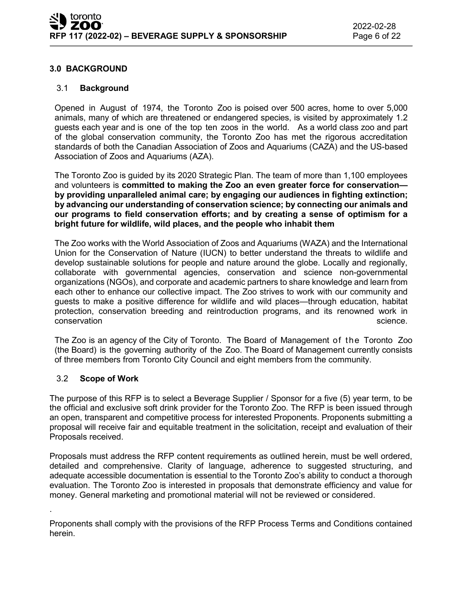### **3.0 BACKGROUND**

#### 3.1 **Background**

Opened in August of 1974, the Toronto Zoo is poised over 500 acres, home to over 5,000 animals, many of which are threatened or endangered species, is visited by approximately 1.2 guests each year and is one of the top ten zoos in the world. As a world class zoo and part of the global conservation community, the Toronto Zoo has met the rigorous accreditation standards of both the Canadian Association of Zoos and Aquariums (CAZA) and the US-based Association of Zoos and Aquariums (AZA).

The Toronto Zoo is guided by its 2020 Strategic Plan. The team of more than 1,100 employees and volunteers is **committed to making the Zoo an even greater force for conservation by providing unparalleled animal care; by engaging our audiences in fighting extinction; by advancing our understanding of conservation science; by connecting our animals and our programs to field conservation efforts; and by creating a sense of optimism for a bright future for wildlife, wild places, and the people who inhabit them**

The Zoo works with the World Association of Zoos and Aquariums (WAZA) and the International Union for the Conservation of Nature (IUCN) to better understand the threats to wildlife and develop sustainable solutions for people and nature around the globe. Locally and regionally, collaborate with governmental agencies, conservation and science non-governmental organizations (NGOs), and corporate and academic partners to share knowledge and learn from each other to enhance our collective impact. The Zoo strives to work with our community and guests to make a positive difference for wildlife and wild places—through education, habitat protection, conservation breeding and reintroduction programs, and its renowned work in conservation science. The conservation science is a science of the conservation science.

The Zoo is an agency of the City of Toronto. The Board of Management of the Toronto Zoo (the Board) is the governing authority of the Zoo. The Board of Management currently consists of three members from Toronto City Council and eight members from the community.

### 3.2 **Scope of Work**

.

The purpose of this RFP is to select a Beverage Supplier / Sponsor for a five (5) year term, to be the official and exclusive soft drink provider for the Toronto Zoo. The RFP is been issued through an open, transparent and competitive process for interested Proponents. Proponents submitting a proposal will receive fair and equitable treatment in the solicitation, receipt and evaluation of their Proposals received.

Proposals must address the RFP content requirements as outlined herein, must be well ordered, detailed and comprehensive. Clarity of language, adherence to suggested structuring, and adequate accessible documentation is essential to the Toronto Zoo's ability to conduct a thorough evaluation. The Toronto Zoo is interested in proposals that demonstrate efficiency and value for money. General marketing and promotional material will not be reviewed or considered.

Proponents shall comply with the provisions of the RFP Process Terms and Conditions contained herein.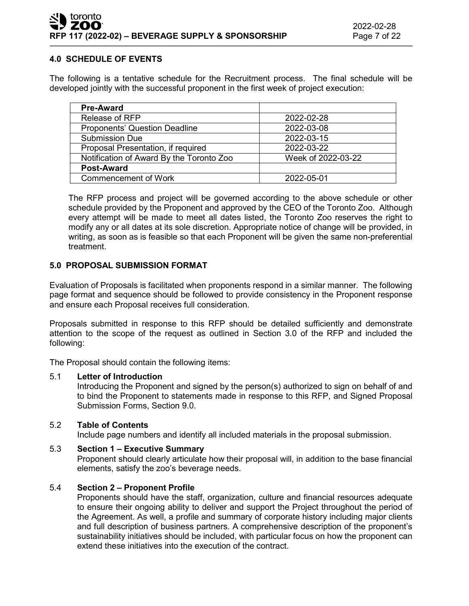# **4.0 SCHEDULE OF EVENTS**

The following is a tentative schedule for the Recruitment process. The final schedule will be developed jointly with the successful proponent in the first week of project execution:

| <b>Pre-Award</b>                         |                    |
|------------------------------------------|--------------------|
| Release of RFP                           | 2022-02-28         |
| <b>Proponents' Question Deadline</b>     | 2022-03-08         |
| <b>Submission Due</b>                    | 2022-03-15         |
| Proposal Presentation, if required       | 2022-03-22         |
| Notification of Award By the Toronto Zoo | Week of 2022-03-22 |
| <b>Post-Award</b>                        |                    |
| <b>Commencement of Work</b>              | 2022-05-01         |

The RFP process and project will be governed according to the above schedule or other schedule provided by the Proponent and approved by the CEO of the Toronto Zoo. Although every attempt will be made to meet all dates listed, the Toronto Zoo reserves the right to modify any or all dates at its sole discretion. Appropriate notice of change will be provided, in writing, as soon as is feasible so that each Proponent will be given the same non-preferential treatment.

### **5.0 PROPOSAL SUBMISSION FORMAT**

Evaluation of Proposals is facilitated when proponents respond in a similar manner. The following page format and sequence should be followed to provide consistency in the Proponent response and ensure each Proposal receives full consideration.

Proposals submitted in response to this RFP should be detailed sufficiently and demonstrate attention to the scope of the request as outlined in Section 3.0 of the RFP and included the following:

The Proposal should contain the following items:

### 5.1 **Letter of Introduction**

Introducing the Proponent and signed by the person(s) authorized to sign on behalf of and to bind the Proponent to statements made in response to this RFP, and Signed Proposal Submission Forms, Section 9.0.

### 5.2 **Table of Contents**

Include page numbers and identify all included materials in the proposal submission.

### 5.3 **Section 1 – Executive Summary**

Proponent should clearly articulate how their proposal will, in addition to the base financial elements, satisfy the zoo's beverage needs.

### 5.4 **Section 2 – Proponent Profile**

Proponents should have the staff, organization, culture and financial resources adequate to ensure their ongoing ability to deliver and support the Project throughout the period of the Agreement. As well, a profile and summary of corporate history including major clients and full description of business partners. A comprehensive description of the proponent's sustainability initiatives should be included, with particular focus on how the proponent can extend these initiatives into the execution of the contract.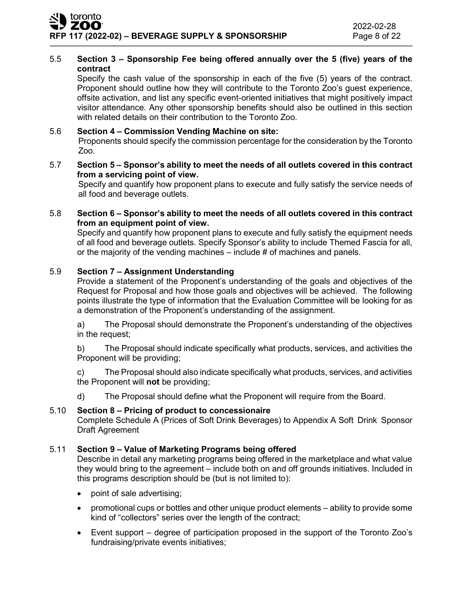# 5.5 **Section 3 – Sponsorship Fee being offered annually over the 5 (five) years of the contract**

Specify the cash value of the sponsorship in each of the five (5) years of the contract. Proponent should outline how they will contribute to the Toronto Zoo's guest experience, offsite activation, and list any specific event-oriented initiatives that might positively impact visitor attendance. Any other sponsorship benefits should also be outlined in this section with related details on their contribution to the Toronto Zoo.

# 5.6 **Section 4 – Commission Vending Machine on site:**

Proponents should specify the commission percentage for the consideration by the Toronto Zoo.

#### 5.7 **Section 5 – Sponsor's ability to meet the needs of all outlets covered in this contract from a servicing point of view.**

Specify and quantify how proponent plans to execute and fully satisfy the service needs of all food and beverage outlets.

#### 5.8 **Section 6 – Sponsor's ability to meet the needs of all outlets covered in this contract from an equipment point of view.**

Specify and quantify how proponent plans to execute and fully satisfy the equipment needs of all food and beverage outlets. Specify Sponsor's ability to include Themed Fascia for all, or the majority of the vending machines – include # of machines and panels.

### 5.9 **Section 7 – Assignment Understanding**

Provide a statement of the Proponent's understanding of the goals and objectives of the Request for Proposal and how those goals and objectives will be achieved. The following points illustrate the type of information that the Evaluation Committee will be looking for as a demonstration of the Proponent's understanding of the assignment.

a) The Proposal should demonstrate the Proponent's understanding of the objectives in the request;

b) The Proposal should indicate specifically what products, services, and activities the Proponent will be providing;

c) The Proposal should also indicate specifically what products, services, and activities the Proponent will **not** be providing;

d) The Proposal should define what the Proponent will require from the Board.

### 5.10 **Section 8 – Pricing of product to concessionaire**

Complete Schedule A (Prices of Soft Drink Beverages) to Appendix A Soft Drink Sponsor Draft Agreement

### 5.11 **Section 9 – Value of Marketing Programs being offered**

Describe in detail any marketing programs being offered in the marketplace and what value they would bring to the agreement – include both on and off grounds initiatives. Included in this programs description should be (but is not limited to):

- point of sale advertising;
- promotional cups or bottles and other unique product elements ability to provide some kind of "collectors" series over the length of the contract;
- Event support degree of participation proposed in the support of the Toronto Zoo's fundraising/private events initiatives;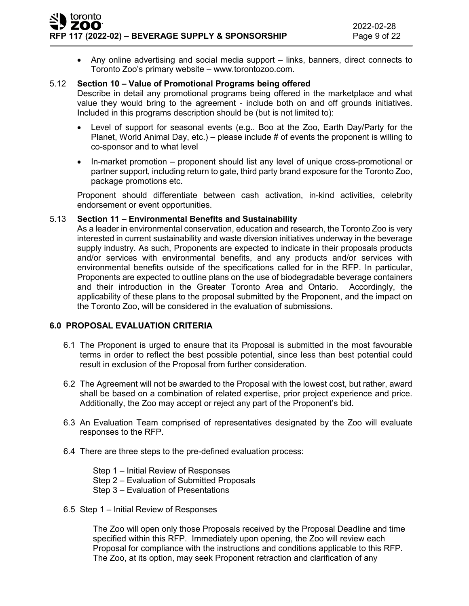• Any online advertising and social media support – links, banners, direct connects to Toronto Zoo's primary website – www.torontozoo.com.

#### 5.12 **Section 10 – Value of Promotional Programs being offered**

Describe in detail any promotional programs being offered in the marketplace and what value they would bring to the agreement - include both on and off grounds initiatives. Included in this programs description should be (but is not limited to):

- Level of support for seasonal events (e.g.. Boo at the Zoo, Earth Day/Party for the Planet, World Animal Day, etc.) – please include  $\#$  of events the proponent is willing to co-sponsor and to what level
- In-market promotion proponent should list any level of unique cross-promotional or partner support, including return to gate, third party brand exposure for the Toronto Zoo, package promotions etc.

Proponent should differentiate between cash activation, in-kind activities, celebrity endorsement or event opportunities.

#### 5.13 **Section 11 – Environmental Benefits and Sustainability**

As a leader in environmental conservation, education and research, the Toronto Zoo is very interested in current sustainability and waste diversion initiatives underway in the beverage supply industry. As such, Proponents are expected to indicate in their proposals products and/or services with environmental benefits, and any products and/or services with environmental benefits outside of the specifications called for in the RFP. In particular, Proponents are expected to outline plans on the use of biodegradable beverage containers and their introduction in the Greater Toronto Area and Ontario. Accordingly, the applicability of these plans to the proposal submitted by the Proponent, and the impact on the Toronto Zoo, will be considered in the evaluation of submissions.

### **6.0 PROPOSAL EVALUATION CRITERIA**

- 6.1 The Proponent is urged to ensure that its Proposal is submitted in the most favourable terms in order to reflect the best possible potential, since less than best potential could result in exclusion of the Proposal from further consideration.
- 6.2 The Agreement will not be awarded to the Proposal with the lowest cost, but rather, award shall be based on a combination of related expertise, prior project experience and price. Additionally, the Zoo may accept or reject any part of the Proponent's bid.
- 6.3 An Evaluation Team comprised of representatives designated by the Zoo will evaluate responses to the RFP.
- 6.4 There are three steps to the pre-defined evaluation process:

Step 1 – Initial Review of Responses Step 2 – Evaluation of Submitted Proposals Step 3 – Evaluation of Presentations

6.5 Step 1 – Initial Review of Responses

The Zoo will open only those Proposals received by the Proposal Deadline and time specified within this RFP. Immediately upon opening, the Zoo will review each Proposal for compliance with the instructions and conditions applicable to this RFP. The Zoo, at its option, may seek Proponent retraction and clarification of any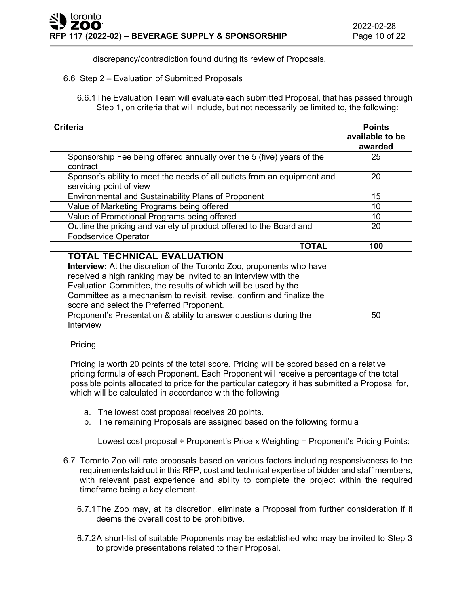discrepancy/contradiction found during its review of Proposals.

- 6.6 Step 2 Evaluation of Submitted Proposals
	- 6.6.1The Evaluation Team will evaluate each submitted Proposal, that has passed through Step 1, on criteria that will include, but not necessarily be limited to, the following:

| <b>Criteria</b>                                                                                                                                | <b>Points</b><br>available to be<br>awarded |
|------------------------------------------------------------------------------------------------------------------------------------------------|---------------------------------------------|
| Sponsorship Fee being offered annually over the 5 (five) years of the<br>contract                                                              | 25                                          |
| Sponsor's ability to meet the needs of all outlets from an equipment and<br>servicing point of view                                            | 20                                          |
| <b>Environmental and Sustainability Plans of Proponent</b>                                                                                     | 15                                          |
| Value of Marketing Programs being offered                                                                                                      | 10                                          |
| Value of Promotional Programs being offered                                                                                                    | 10                                          |
| Outline the pricing and variety of product offered to the Board and                                                                            | 20                                          |
| <b>Foodservice Operator</b>                                                                                                                    |                                             |
| TOTAL                                                                                                                                          | 100                                         |
| <b>TOTAL TECHNICAL EVALUATION</b>                                                                                                              |                                             |
| <b>Interview:</b> At the discretion of the Toronto Zoo, proponents who have<br>received a high ranking may be invited to an interview with the |                                             |
| Evaluation Committee, the results of which will be used by the                                                                                 |                                             |
| Committee as a mechanism to revisit, revise, confirm and finalize the                                                                          |                                             |
| score and select the Preferred Proponent.                                                                                                      |                                             |
| Proponent's Presentation & ability to answer questions during the<br>Interview                                                                 | 50                                          |

#### Pricing

Pricing is worth 20 points of the total score. Pricing will be scored based on a relative pricing formula of each Proponent. Each Proponent will receive a percentage of the total possible points allocated to price for the particular category it has submitted a Proposal for, which will be calculated in accordance with the following

- a. The lowest cost proposal receives 20 points.
- b. The remaining Proposals are assigned based on the following formula

Lowest cost proposal ÷ Proponent's Price x Weighting = Proponent's Pricing Points:

- 6.7 Toronto Zoo will rate proposals based on various factors including responsiveness to the requirements laid out in this RFP, cost and technical expertise of bidder and staff members, with relevant past experience and ability to complete the project within the required timeframe being a key element.
	- 6.7.1The Zoo may, at its discretion, eliminate a Proposal from further consideration if it deems the overall cost to be prohibitive.
	- 6.7.2A short-list of suitable Proponents may be established who may be invited to Step 3 to provide presentations related to their Proposal.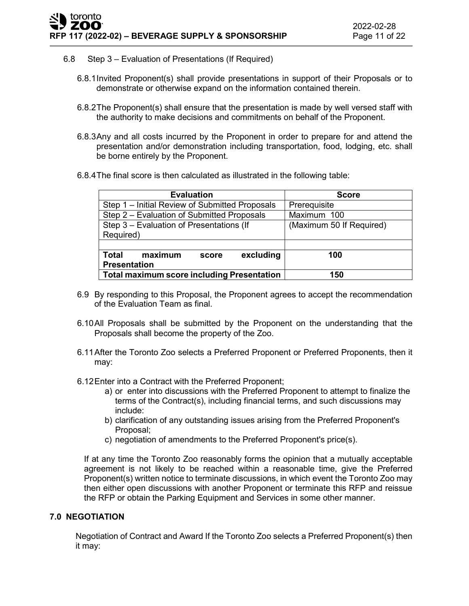- 6.8 Step 3 Evaluation of Presentations (If Required)
	- 6.8.1Invited Proponent(s) shall provide presentations in support of their Proposals or to demonstrate or otherwise expand on the information contained therein.
	- 6.8.2The Proponent(s) shall ensure that the presentation is made by well versed staff with the authority to make decisions and commitments on behalf of the Proponent.
	- 6.8.3Any and all costs incurred by the Proponent in order to prepare for and attend the presentation and/or demonstration including transportation, food, lodging, etc. shall be borne entirely by the Proponent.
	- 6.8.4The final score is then calculated as illustrated in the following table:

| <b>Evaluation</b>                                 | <b>Score</b>             |
|---------------------------------------------------|--------------------------|
| Step 1 – Initial Review of Submitted Proposals    | Prerequisite             |
| Step 2 - Evaluation of Submitted Proposals        | Maximum 100              |
| Step 3 - Evaluation of Presentations (If          | (Maximum 50 If Required) |
| Required)                                         |                          |
|                                                   |                          |
| excluding<br><b>Total</b><br>maximum<br>score     | 100                      |
| <b>Presentation</b>                               |                          |
| <b>Total maximum score including Presentation</b> | 150                      |

- 6.9 By responding to this Proposal, the Proponent agrees to accept the recommendation of the Evaluation Team as final.
- 6.10All Proposals shall be submitted by the Proponent on the understanding that the Proposals shall become the property of the Zoo.
- 6.11After the Toronto Zoo selects a Preferred Proponent or Preferred Proponents, then it may:
- 6.12Enter into a Contract with the Preferred Proponent;
	- a) or enter into discussions with the Preferred Proponent to attempt to finalize the terms of the Contract(s), including financial terms, and such discussions may include:
	- b) clarification of any outstanding issues arising from the Preferred Proponent's Proposal;
	- c) negotiation of amendments to the Preferred Proponent's price(s).

If at any time the Toronto Zoo reasonably forms the opinion that a mutually acceptable agreement is not likely to be reached within a reasonable time, give the Preferred Proponent(s) written notice to terminate discussions, in which event the Toronto Zoo may then either open discussions with another Proponent or terminate this RFP and reissue the RFP or obtain the Parking Equipment and Services in some other manner.

#### **7.0 NEGOTIATION**

Negotiation of Contract and Award If the Toronto Zoo selects a Preferred Proponent(s) then it may: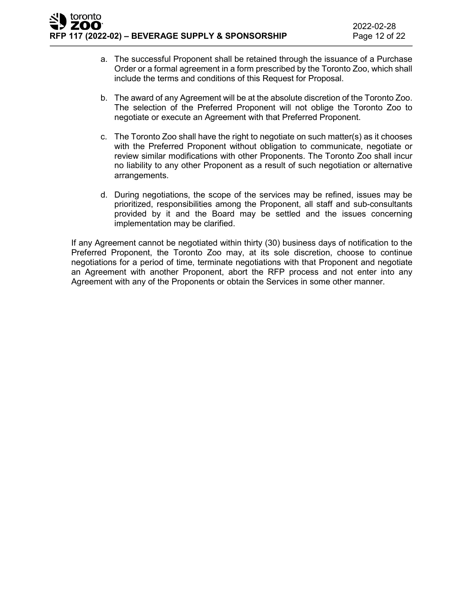- a. The successful Proponent shall be retained through the issuance of a Purchase Order or a formal agreement in a form prescribed by the Toronto Zoo, which shall include the terms and conditions of this Request for Proposal.
- b. The award of any Agreement will be at the absolute discretion of the Toronto Zoo. The selection of the Preferred Proponent will not oblige the Toronto Zoo to negotiate or execute an Agreement with that Preferred Proponent.
- c. The Toronto Zoo shall have the right to negotiate on such matter(s) as it chooses with the Preferred Proponent without obligation to communicate, negotiate or review similar modifications with other Proponents. The Toronto Zoo shall incur no liability to any other Proponent as a result of such negotiation or alternative arrangements.
- d. During negotiations, the scope of the services may be refined, issues may be prioritized, responsibilities among the Proponent, all staff and sub-consultants provided by it and the Board may be settled and the issues concerning implementation may be clarified.

If any Agreement cannot be negotiated within thirty (30) business days of notification to the Preferred Proponent, the Toronto Zoo may, at its sole discretion, choose to continue negotiations for a period of time, terminate negotiations with that Proponent and negotiate an Agreement with another Proponent, abort the RFP process and not enter into any Agreement with any of the Proponents or obtain the Services in some other manner.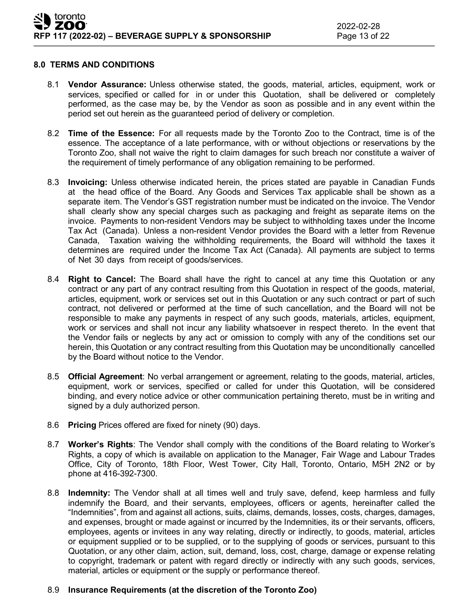#### **8.0 TERMS AND CONDITIONS**

- 8.1 **Vendor Assurance:** Unless otherwise stated, the goods, material, articles, equipment, work or services, specified or called for in or under this Quotation, shall be delivered or completely performed, as the case may be, by the Vendor as soon as possible and in any event within the period set out herein as the guaranteed period of delivery or completion.
- 8.2 **Time of the Essence:** For all requests made by the Toronto Zoo to the Contract, time is of the essence. The acceptance of a late performance, with or without objections or reservations by the Toronto Zoo, shall not waive the right to claim damages for such breach nor constitute a waiver of the requirement of timely performance of any obligation remaining to be performed.
- 8.3 **Invoicing:** Unless otherwise indicated herein, the prices stated are payable in Canadian Funds at the head office of the Board. Any Goods and Services Tax applicable shall be shown as a separate item. The Vendor's GST registration number must be indicated on the invoice. The Vendor shall clearly show any special charges such as packaging and freight as separate items on the invoice. Payments to non-resident Vendors may be subject to withholding taxes under the Income Tax Act (Canada). Unless a non-resident Vendor provides the Board with a letter from Revenue Canada, Taxation waiving the withholding requirements, the Board will withhold the taxes it determines are required under the Income Tax Act (Canada). All payments are subject to terms of Net 30 days from receipt of goods/services.
- 8.4 **Right to Cancel:** The Board shall have the right to cancel at any time this Quotation or any contract or any part of any contract resulting from this Quotation in respect of the goods, material, articles, equipment, work or services set out in this Quotation or any such contract or part of such contract, not delivered or performed at the time of such cancellation, and the Board will not be responsible to make any payments in respect of any such goods, materials, articles, equipment, work or services and shall not incur any liability whatsoever in respect thereto. In the event that the Vendor fails or neglects by any act or omission to comply with any of the conditions set our herein, this Quotation or any contract resulting from this Quotation may be unconditionally cancelled by the Board without notice to the Vendor.
- 8.5 **Official Agreement**: No verbal arrangement or agreement, relating to the goods, material, articles, equipment, work or services, specified or called for under this Quotation, will be considered binding, and every notice advice or other communication pertaining thereto, must be in writing and signed by a duly authorized person.
- 8.6 **Pricing** Prices offered are fixed for ninety (90) days.
- 8.7 **Worker's Rights**: The Vendor shall comply with the conditions of the Board relating to Worker's Rights, a copy of which is available on application to the Manager, Fair Wage and Labour Trades Office, City of Toronto, 18th Floor, West Tower, City Hall, Toronto, Ontario, M5H 2N2 or by phone at 416-392-7300.
- 8.8 **Indemnity:** The Vendor shall at all times well and truly save, defend, keep harmless and fully indemnify the Board, and their servants, employees, officers or agents, hereinafter called the "Indemnities", from and against all actions, suits, claims, demands, losses, costs, charges, damages, and expenses, brought or made against or incurred by the Indemnities, its or their servants, officers, employees, agents or invitees in any way relating, directly or indirectly, to goods, material, articles or equipment supplied or to be supplied, or to the supplying of goods or services, pursuant to this Quotation, or any other claim, action, suit, demand, loss, cost, charge, damage or expense relating to copyright, trademark or patent with regard directly or indirectly with any such goods, services, material, articles or equipment or the supply or performance thereof.

# 8.9 **Insurance Requirements (at the discretion of the Toronto Zoo)**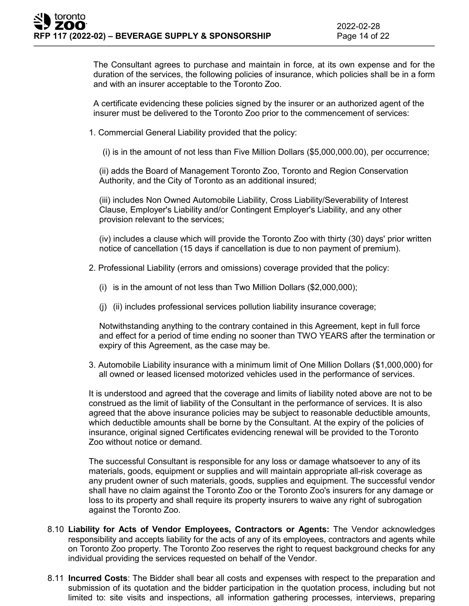The Consultant agrees to purchase and maintain in force, at its own expense and for the duration of the services, the following policies of insurance, which policies shall be in a form and with an insurer acceptable to the Toronto Zoo.

A certificate evidencing these policies signed by the insurer or an authorized agent of the insurer must be delivered to the Toronto Zoo prior to the commencement of services:

1. Commercial General Liability provided that the policy:

(i) is in the amount of not less than Five Million Dollars (\$5,000,000.00), per occurrence;

(ii) adds the Board of Management Toronto Zoo, Toronto and Region Conservation Authority, and the City of Toronto as an additional insured;

(iii) includes Non Owned Automobile Liability, Cross Liability/Severability of Interest Clause, Employer's Liability and/or Contingent Employer's Liability, and any other provision relevant to the services;

(iv) includes a clause which will provide the Toronto Zoo with thirty (30) days' prior written notice of cancellation (15 days if cancellation is due to non payment of premium).

- 2. Professional Liability (errors and omissions) coverage provided that the policy:
	- (i) is in the amount of not less than Two Million Dollars (\$2,000,000);
	- (j) (ii) includes professional services pollution liability insurance coverage;

Notwithstanding anything to the contrary contained in this Agreement, kept in full force and effect for a period of time ending no sooner than TWO YEARS after the termination or expiry of this Agreement, as the case may be.

3. Automobile Liability insurance with a minimum limit of One Million Dollars (\$1,000,000) for all owned or leased licensed motorized vehicles used in the performance of services.

It is understood and agreed that the coverage and limits of liability noted above are not to be construed as the limit of liability of the Consultant in the performance of services. It is also agreed that the above insurance policies may be subject to reasonable deductible amounts, which deductible amounts shall be borne by the Consultant. At the expiry of the policies of insurance, original signed Certificates evidencing renewal will be provided to the Toronto Zoo without notice or demand.

The successful Consultant is responsible for any loss or damage whatsoever to any of its materials, goods, equipment or supplies and will maintain appropriate all-risk coverage as any prudent owner of such materials, goods, supplies and equipment. The successful vendor shall have no claim against the Toronto Zoo or the Toronto Zoo's insurers for any damage or loss to its property and shall require its property insurers to waive any right of subrogation against the Toronto Zoo.

- 8.10 **Liability for Acts of Vendor Employees, Contractors or Agents:** The Vendor acknowledges responsibility and accepts liability for the acts of any of its employees, contractors and agents while on Toronto Zoo property. The Toronto Zoo reserves the right to request background checks for any individual providing the services requested on behalf of the Vendor.
- 8.11 **Incurred Costs**: The Bidder shall bear all costs and expenses with respect to the preparation and submission of its quotation and the bidder participation in the quotation process, including but not limited to: site visits and inspections, all information gathering processes, interviews, preparing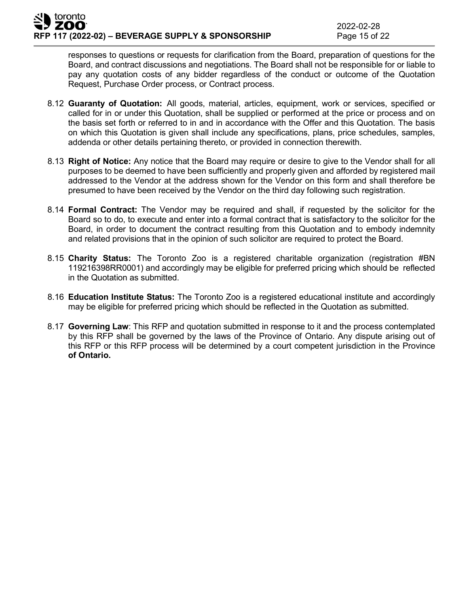responses to questions or requests for clarification from the Board, preparation of questions for the Board, and contract discussions and negotiations. The Board shall not be responsible for or liable to pay any quotation costs of any bidder regardless of the conduct or outcome of the Quotation Request, Purchase Order process, or Contract process.

- 8.12 **Guaranty of Quotation:** All goods, material, articles, equipment, work or services, specified or called for in or under this Quotation, shall be supplied or performed at the price or process and on the basis set forth or referred to in and in accordance with the Offer and this Quotation. The basis on which this Quotation is given shall include any specifications, plans, price schedules, samples, addenda or other details pertaining thereto, or provided in connection therewith.
- 8.13 **Right of Notice:** Any notice that the Board may require or desire to give to the Vendor shall for all purposes to be deemed to have been sufficiently and properly given and afforded by registered mail addressed to the Vendor at the address shown for the Vendor on this form and shall therefore be presumed to have been received by the Vendor on the third day following such registration.
- 8.14 **Formal Contract:** The Vendor may be required and shall, if requested by the solicitor for the Board so to do, to execute and enter into a formal contract that is satisfactory to the solicitor for the Board, in order to document the contract resulting from this Quotation and to embody indemnity and related provisions that in the opinion of such solicitor are required to protect the Board.
- 8.15 **Charity Status:** The Toronto Zoo is a registered charitable organization (registration #BN 119216398RR0001) and accordingly may be eligible for preferred pricing which should be reflected in the Quotation as submitted.
- 8.16 **Education Institute Status:** The Toronto Zoo is a registered educational institute and accordingly may be eligible for preferred pricing which should be reflected in the Quotation as submitted.
- 8.17 **Governing Law**: This RFP and quotation submitted in response to it and the process contemplated by this RFP shall be governed by the laws of the Province of Ontario. Any dispute arising out of this RFP or this RFP process will be determined by a court competent jurisdiction in the Province **of Ontario.**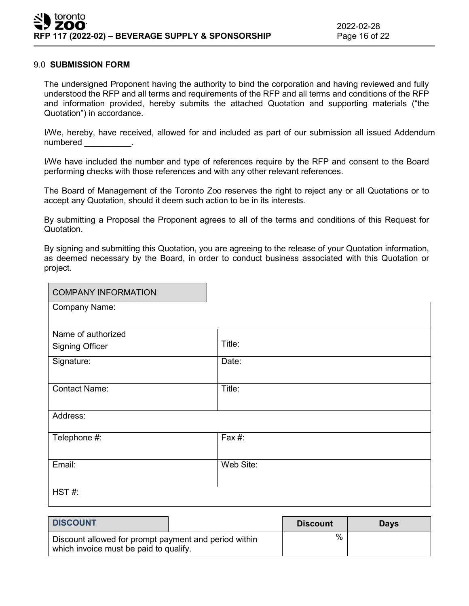#### 9.0 **SUBMISSION FORM**

The undersigned Proponent having the authority to bind the corporation and having reviewed and fully understood the RFP and all terms and requirements of the RFP and all terms and conditions of the RFP and information provided, hereby submits the attached Quotation and supporting materials ("the Quotation") in accordance.

I/We, hereby, have received, allowed for and included as part of our submission all issued Addendum numbered **with a set of the set of the set of the set of the set of the set of the set of the set of the set o** 

I/We have included the number and type of references require by the RFP and consent to the Board performing checks with those references and with any other relevant references.

The Board of Management of the Toronto Zoo reserves the right to reject any or all Quotations or to accept any Quotation, should it deem such action to be in its interests.

By submitting a Proposal the Proponent agrees to all of the terms and conditions of this Request for Quotation.

By signing and submitting this Quotation, you are agreeing to the release of your Quotation information, as deemed necessary by the Board, in order to conduct business associated with this Quotation or project.

| <b>COMPANY INFORMATION</b> |           |  |
|----------------------------|-----------|--|
| <b>Company Name:</b>       |           |  |
|                            |           |  |
| Name of authorized         |           |  |
| <b>Signing Officer</b>     | Title:    |  |
| Signature:                 | Date:     |  |
|                            |           |  |
| <b>Contact Name:</b>       | Title:    |  |
|                            |           |  |
| Address:                   |           |  |
| Telephone #:               | Fax #:    |  |
|                            |           |  |
| Email:                     | Web Site: |  |
|                            |           |  |
| HST#:                      |           |  |
|                            |           |  |

| <b>DISCOUNT</b>                                                                                 |  | <b>Discount</b> | Days |
|-------------------------------------------------------------------------------------------------|--|-----------------|------|
| Discount allowed for prompt payment and period within<br>which invoice must be paid to qualify. |  | $\%$            |      |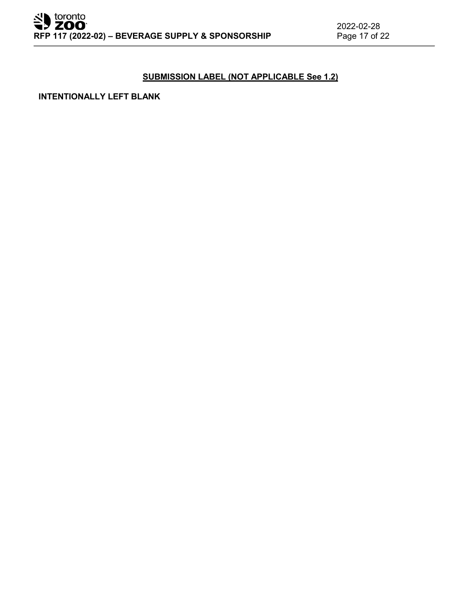# **SUBMISSION LABEL (NOT APPLICABLE See 1.2)**

**INTENTIONALLY LEFT BLANK**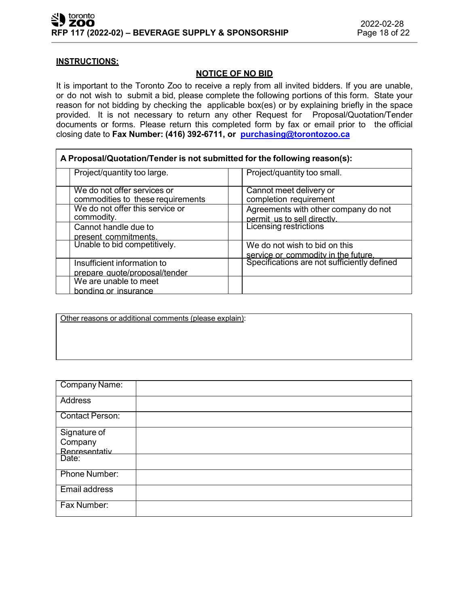#### **INSTRUCTIONS:**

### **NOTICE OF NO BID**

It is important to the Toronto Zoo to receive a reply from all invited bidders. If you are unable, or do not wish to submit a bid, please complete the following portions of this form. State your reason for not bidding by checking the applicable box(es) or by explaining briefly in the space provided. It is not necessary to return any other Request for Proposal/Quotation/Tender documents or forms. Please return this completed form by fax or email prior to the official closing date to **Fax Number: (416) 392-6711, or [purchasing@torontozoo.ca](mailto:purchasing@torontozoo.ca)**

| A Proposal/Quotation/Tender is not submitted for the following reason(s): |                                                                                    |  |  |
|---------------------------------------------------------------------------|------------------------------------------------------------------------------------|--|--|
| Project/quantity too large.                                               | Project/quantity too small.                                                        |  |  |
| We do not offer services or<br>commodities to these requirements          | Cannot meet delivery or<br>completion requirement                                  |  |  |
| We do not offer this service or<br>commodity.                             | Agreements with other company do not<br>permit us to sell directly.                |  |  |
| Cannot handle due to<br>present commitments.                              | Licensing restrictions                                                             |  |  |
| Unable to bid competitively.                                              | We do not wish to bid on this                                                      |  |  |
| Insufficient information to<br>prepare quote/proposal/tender              | service or commodity in the future.<br>Specifications are not sufficiently defined |  |  |
| We are unable to meet<br>bonding or insurance                             |                                                                                    |  |  |

Other reasons or additional comments (please explain):

| <b>Company Name:</b>   |  |
|------------------------|--|
| <b>Address</b>         |  |
| <b>Contact Person:</b> |  |
| Signature of           |  |
| Company                |  |
| Representativ          |  |
| Date:                  |  |
| Phone Number:          |  |
| Email address          |  |
| Fax Number:            |  |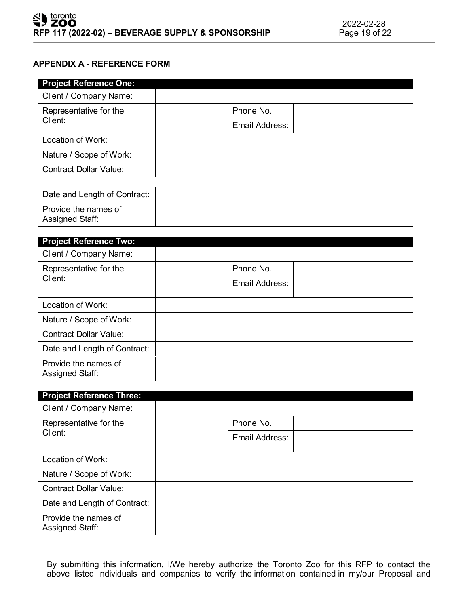# **APPENDIX A - REFERENCE FORM**

| <b>Project Reference One:</b> |                |
|-------------------------------|----------------|
| Client / Company Name:        |                |
| Representative for the        | Phone No.      |
| Client:                       | Email Address: |
| Location of Work:             |                |
| Nature / Scope of Work:       |                |
| <b>Contract Dollar Value:</b> |                |

| Date and Length of Contract:            |  |
|-----------------------------------------|--|
| Provide the names of<br>Assigned Staff: |  |

| <b>Project Reference Two:</b>           |                |  |  |
|-----------------------------------------|----------------|--|--|
| Client / Company Name:                  |                |  |  |
| Representative for the                  | Phone No.      |  |  |
| Client:                                 | Email Address: |  |  |
| Location of Work:                       |                |  |  |
| Nature / Scope of Work:                 |                |  |  |
| <b>Contract Dollar Value:</b>           |                |  |  |
| Date and Length of Contract:            |                |  |  |
| Provide the names of<br>Assigned Staff: |                |  |  |

| <b>Project Reference Three:</b>         |                |  |
|-----------------------------------------|----------------|--|
| Client / Company Name:                  |                |  |
| Representative for the<br>Client:       | Phone No.      |  |
|                                         | Email Address: |  |
| Location of Work:                       |                |  |
| Nature / Scope of Work:                 |                |  |
| <b>Contract Dollar Value:</b>           |                |  |
| Date and Length of Contract:            |                |  |
| Provide the names of<br>Assigned Staff: |                |  |

By submitting this information, I/We hereby authorize the Toronto Zoo for this RFP to contact the above listed individuals and companies to verify the information contained in my/our Proposal and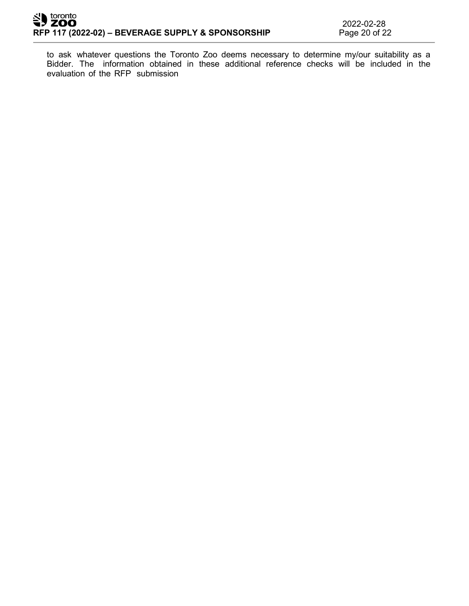to ask whatever questions the Toronto Zoo deems necessary to determine my/our suitability as a Bidder. The information obtained in these additional reference checks will be included in the evaluation of the RFP submission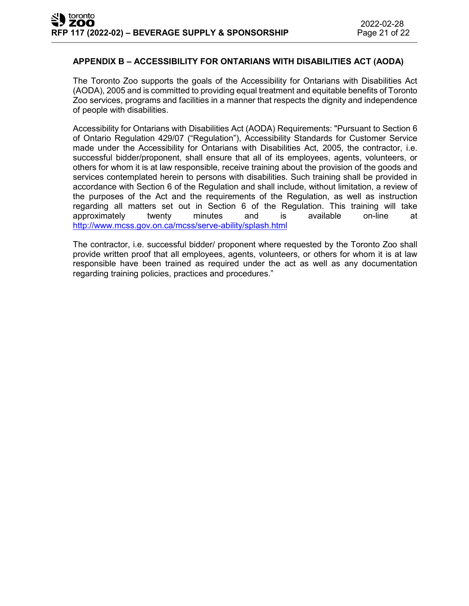#### **APPENDIX B – ACCESSIBILITY FOR ONTARIANS WITH DISABILITIES ACT (AODA)**

The Toronto Zoo supports the goals of the Accessibility for Ontarians with Disabilities Act (AODA), 2005 and is committed to providing equal treatment and equitable benefits of Toronto Zoo services, programs and facilities in a manner that respects the dignity and independence of people with disabilities.

Accessibility for Ontarians with Disabilities Act (AODA) Requirements: "Pursuant to Section 6 of Ontario Regulation 429/07 ("Regulation"), Accessibility Standards for Customer Service made under the Accessibility for Ontarians with Disabilities Act, 2005, the contractor, i.e. successful bidder/proponent, shall ensure that all of its employees, agents, volunteers, or others for whom it is at law responsible, receive training about the provision of the goods and services contemplated herein to persons with disabilities. Such training shall be provided in accordance with Section 6 of the Regulation and shall include, without limitation, a review of the purposes of the Act and the requirements of the Regulation, as well as instruction regarding all matters set out in Section 6 of the Regulation. This training will take approximately twenty minutes and is available on-line at <http://www.mcss.gov.on.ca/mcss/serve-ability/splash.html>

The contractor, i.e. successful bidder/ proponent where requested by the Toronto Zoo shall provide written proof that all employees, agents, volunteers, or others for whom it is at law responsible have been trained as required under the act as well as any documentation regarding training policies, practices and procedures."